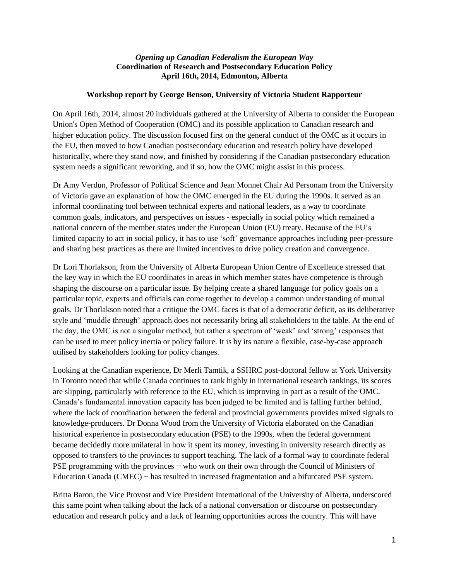## *Opening up Canadian Federalism the European Way* **Coordination of Research and Postsecondary Education Policy April 16th, 2014, Edmonton, Alberta**

## **Workshop report by George Benson, University of Victoria Student Rapporteur**

On April 16th, 2014, almost 20 individuals gathered at the University of Alberta to consider the European Union's Open Method of Cooperation (OMC) and its possible application to Canadian research and higher education policy. The discussion focused first on the general conduct of the OMC as it occurs in the EU, then moved to how Canadian postsecondary education and research policy have developed historically, where they stand now, and finished by considering if the Canadian postsecondary education system needs a significant reworking, and if so, how the OMC might assist in this process.

Dr Amy Verdun, Professor of Political Science and Jean Monnet Chair Ad Personam from the University of Victoria gave an explanation of how the OMC emerged in the EU during the 1990s. It served as an informal coordinating tool between technical experts and national leaders, as a way to coordinate common goals, indicators, and perspectives on issues - especially in social policy which remained a national concern of the member states under the European Union (EU) treaty. Because of the EU's limited capacity to act in social policy, it has to use 'soft' governance approaches including peer-pressure and sharing best practices as there are limited incentives to drive policy creation and convergence.

Dr Lori Thorlakson, from the University of Alberta European Union Centre of Excellence stressed that the key way in which the EU coordinates in areas in which member states have competence is through shaping the discourse on a particular issue. By helping create a shared language for policy goals on a particular topic, experts and officials can come together to develop a common understanding of mutual goals. Dr Thorlakson noted that a critique the OMC faces is that of a democratic deficit, as its deliberative style and 'muddle through' approach does not necessarily bring all stakeholders to the table. At the end of the day, the OMC is not a singular method, but rather a spectrum of 'weak' and 'strong' responses that can be used to meet policy inertia or policy failure. It is by its nature a flexible, case-by-case approach utilised by stakeholders looking for policy changes.

Looking at the Canadian experience, Dr Merli Tamtik, a SSHRC post-doctoral fellow at York University in Toronto noted that while Canada continues to rank highly in international research rankings, its scores are slipping, particularly with reference to the EU, which is improving in part as a result of the OMC. Canada's fundamental innovation capacity has been judged to be limited and is falling further behind, where the lack of coordination between the federal and provincial governments provides mixed signals to knowledge-producers. Dr Donna Wood from the University of Victoria elaborated on the Canadian historical experience in postsecondary education (PSE) to the 1990s, when the federal government became decidedly more unilateral in how it spent its money, investing in university research directly as opposed to transfers to the provinces to support teaching. The lack of a formal way to coordinate federal PSE programming with the provinces − who work on their own through the Council of Ministers of Education Canada (CMEC) − has resulted in increased fragmentation and a bifurcated PSE system.

Britta Baron, the Vice Provost and Vice President International of the University of Alberta, underscored this same point when talking about the lack of a national conversation or discourse on postsecondary education and research policy and a lack of learning opportunities across the country. This will have